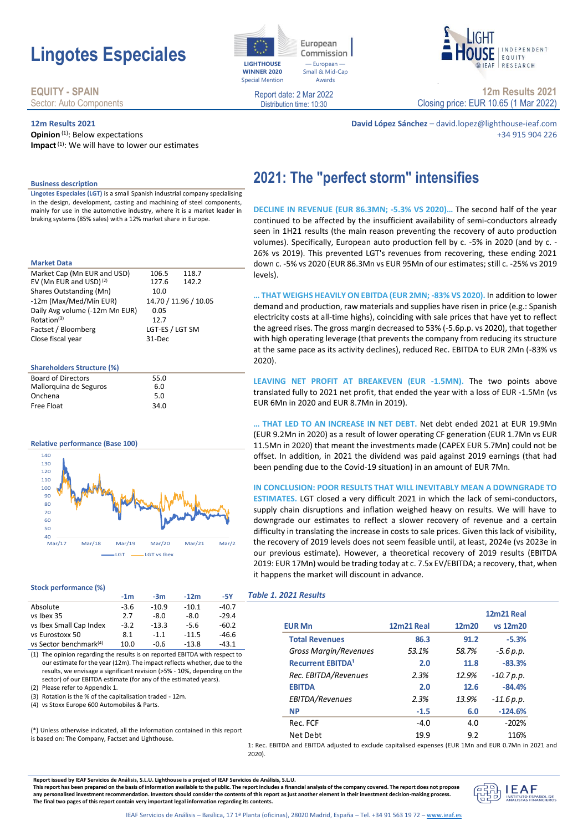# **Lingotes Especiales**

# **EQUITY - SPAIN** Sector: Auto Components

# **12m Results 2021**

**Opinion**<sup>(1)</sup>: Below expectations **Impact**(1): We will have to lower our estimates



levels).

Commission - European Small & Mid-Cap Awards

**2021: The "perfect storm" intensifies**

Report date: 2 Mar 2022 Distribution time: 10:30



**12m Results 2021** Closing price: EUR 10.65 (1 Mar 2022)

**David López Sánchez** – david.lopez@lighthouse-ieaf.com +34 915 904 226

### **Business description**

**Lingotes Especiales (LGT)** is a small Spanish industrial company specialising in the design, development, casting and machining of steel components, mainly for use in the automotive industry, where it is a market leader in braking systems (85% sales) with a 12% market share in Europe.

#### **Market Data**

| Market Cap (Mn EUR and USD)        | 106.5           | 118.7                 |  |
|------------------------------------|-----------------|-----------------------|--|
| EV (Mn EUR and USD) <sup>(2)</sup> | 127.6           | 142.2                 |  |
| Shares Outstanding (Mn)            | 10.0            |                       |  |
| -12m (Max/Med/Mín EUR)             |                 | 14.70 / 11.96 / 10.05 |  |
| Daily Avg volume (-12m Mn EUR)     | 0.05            |                       |  |
| Rotation <sup>(3)</sup>            | 12.7            |                       |  |
| Factset / Bloomberg                | LGT-ES / LGT SM |                       |  |
| Close fiscal year                  | 31-Dec          |                       |  |
|                                    |                 |                       |  |

#### **Shareholders Structure (%)**

| <b>Board of Directors</b> | 55.0 |
|---------------------------|------|
| Mallorquina de Seguros    | 6.0  |
| Onchena                   | 5.0  |
| Free Float                | 34.O |

#### **Relative performance (Base 100)**



#### **Stock performance (%)**

|                                    | $-1m$  | $-3m$   | $-12m$  | -5Y     |  |
|------------------------------------|--------|---------|---------|---------|--|
| Absolute                           | $-3.6$ | $-10.9$ | $-10.1$ | $-40.7$ |  |
| vs Ibex 35                         | 2.7    | $-8.0$  | $-8.0$  | $-29.4$ |  |
| vs Ibex Small Cap Index            | $-3.2$ | $-13.3$ | $-5.6$  | $-60.2$ |  |
| vs Eurostoxx 50                    | 8.1    | $-1.1$  | $-11.5$ | $-46.6$ |  |
| vs Sector benchmark <sup>(4)</sup> | 10.0   | -0.6    | $-13.8$ | $-43.1$ |  |

(1) The opinion regarding the results is on reported EBITDA with respect to our estimate for the year (12m). The impact reflects whether, due to the results, we envisage a significant revision (>5% - 10%, depending on the sector) of our EBITDA estimate (for any of the estimated years).

(2) Please refer to Appendix 1.

(3) Rotation is the % of the capitalisation traded - 12m.

(4) vs Stoxx Europe 600 Automobiles & Parts.

(\*) Unless otherwise indicated, all the information contained in this report is based on: The Company, Factset and Lighthouse.

demand and production, raw materials and supplies have risen in price (e.g.: Spanish

electricity costs at all-time highs), coinciding with sale prices that have yet to reflect the agreed rises. The gross margin decreased to 53% (-5.6p.p. vs 2020), that together with high operating leverage (that prevents the company from reducing its structure at the same pace as its activity declines), reduced Rec. EBITDA to EUR 2Mn (-83% vs 2020).

**… THAT WEIGHS HEAVILY ON EBITDA (EUR 2MN; -83% VS 2020).** In addition to lower

**DECLINE IN REVENUE (EUR 86.3MN; -5.3% VS 2020)…** The second half of the year continued to be affected by the insufficient availability of semi-conductors already seen in 1H21 results (the main reason preventing the recovery of auto production volumes). Specifically, European auto production fell by c. -5% in 2020 (and by c. - 26% vs 2019). This prevented LGT's revenues from recovering, these ending 2021 down c. -5% vs 2020 (EUR 86.3Mn vs EUR 95Mn of our estimates; still c. -25% vs 2019

LEAVING NET PROFIT AT BREAKEVEN (EUR -1.5MN). The two points above translated fully to 2021 net profit, that ended the year with a loss of EUR -1.5Mn (vs EUR 6Mn in 2020 and EUR 8.7Mn in 2019).

**… THAT LED TO AN INCREASE IN NET DEBT.** Net debt ended 2021 at EUR 19.9Mn (EUR 9.2Mn in 2020) as a result of lower operating CF generation (EUR 1.7Mn vs EUR 11.5Mn in 2020) that meant the investments made (CAPEX EUR 5.7Mn) could not be offset. In addition, in 2021 the dividend was paid against 2019 earnings (that had been pending due to the Covid-19 situation) in an amount of EUR 7Mn.

# **IN CONCLUSION: POOR RESULTS THAT WILL INEVITABLY MEAN A DOWNGRADE TO ESTIMATES.** LGT closed a very difficult 2021 in which the lack of semi-conductors, supply chain disruptions and inflation weighed heavy on results. We will have to downgrade our estimates to reflect a slower recovery of revenue and a certain difficulty in translating the increase in costs to sale prices. Given this lack of visibility, the recovery of 2019 levels does not seem feasible until, at least, 2024e (vs 2023e in our previous estimate). However, a theoretical recovery of 2019 results (EBITDA 2019: EUR 17Mn) would be trading today at c. 7.5x EV/EBITDA; a recovery, that, when it happens the market will discount in advance.

|  | Table 1. 2021 Results |  |
|--|-----------------------|--|
|--|-----------------------|--|

|                                     |                   |       | <b>12m21 Real</b> |
|-------------------------------------|-------------------|-------|-------------------|
| <b>EUR Mn</b>                       | <b>12m21 Real</b> | 12m20 | vs 12m20          |
| <b>Total Revenues</b>               | 86.3              | 91.2  | $-5.3%$           |
| Gross Margin/Revenues               | 53.1%             | 58.7% | $-5.6 p.p.$       |
| <b>Recurrent EBITDA<sup>1</sup></b> | 2.0               | 11.8  | $-83.3%$          |
| Rec. EBITDA/Revenues                | 2.3%              | 12.9% | $-10.7 p.p.$      |
| <b>EBITDA</b>                       | 2.0               | 12.6  | $-84.4%$          |
| EBITDA/Revenues                     | 2.3%              | 13.9% | $-11.6 p.p.$      |
| <b>NP</b>                           | $-1.5$            | 6.0   | $-124.6%$         |
| Rec. FCF                            | $-4.0$            | 4.0   | $-202%$           |
| Net Debt                            | 19.9              | 9.2   | 116%              |

1: Rec. EBITDA and EBITDA adjusted to exclude capitalised expenses (EUR 1Mn and EUR 0.7Mn in 2021 and 2020).

**Report issued by IEAF Servicios de Análisis, S.L.U. Lighthouse is a project of IEAF Servicios de Análisis, S.L.U.**

**This report has been prepared on the basis of information available to the public. The report includes a financial analysis of the company covered. The report does not propose any personalised investment recommendation. Investors should consider the contents of this report as just another element in their investment decision-making process. The final two pages of this report contain very important legal information regarding its contents.**

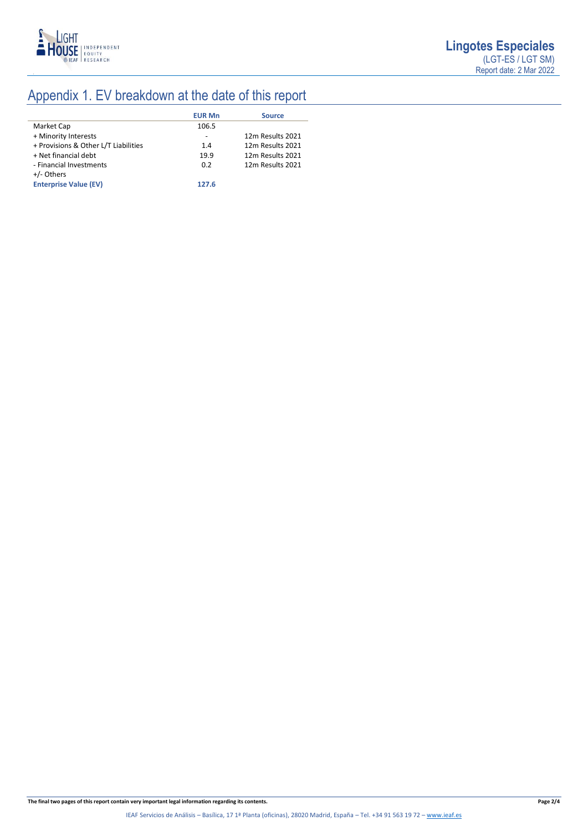

# Appendix 1. EV breakdown at the date of this report

|                                      | <b>EUR Mn</b> | <b>Source</b>    |
|--------------------------------------|---------------|------------------|
| Market Cap                           | 106.5         |                  |
| + Minority Interests                 | -             | 12m Results 2021 |
| + Provisions & Other L/T Liabilities | 1.4           | 12m Results 2021 |
| + Net financial debt                 | 19.9          | 12m Results 2021 |
| - Financial Investments              | 0.2           | 12m Results 2021 |
| +/- Others                           |               |                  |
| <b>Enterprise Value (EV)</b>         | 127.6         |                  |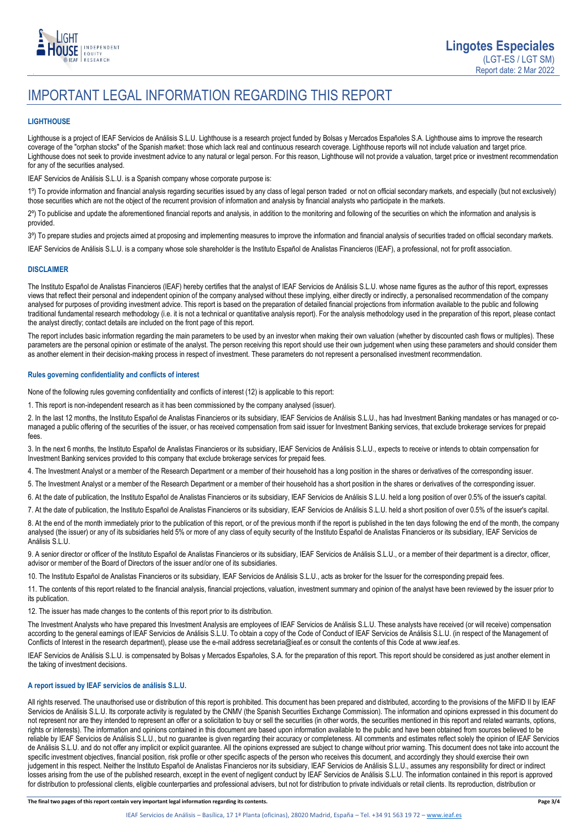

# IMPORTANT LEGAL INFORMATION REGARDING THIS REPORT

## **LIGHTHOUSE**

Lighthouse is a project of IEAF Servicios de Análisis S.L.U. Lighthouse is a research project funded by Bolsas y Mercados Españoles S.A. Lighthouse aims to improve the research coverage of the "orphan stocks" of the Spanish market: those which lack real and continuous research coverage. Lighthouse reports will not include valuation and target price. Lighthouse does not seek to provide investment advice to any natural or legal person. For this reason, Lighthouse will not provide a valuation, target price or investment recommendation for any of the securities analysed.

IEAF Servicios de Análisis S.L.U. is a Spanish company whose corporate purpose is:

1º) To provide information and financial analysis regarding securities issued by any class of legal person traded or not on official secondary markets, and especially (but not exclusively) those securities which are not the object of the recurrent provision of information and analysis by financial analysts who participate in the markets.

2º) To publicise and update the aforementioned financial reports and analysis, in addition to the monitoring and following of the securities on which the information and analysis is provided.

3º) To prepare studies and projects aimed at proposing and implementing measures to improve the information and financial analysis of securities traded on official secondary markets.

IEAF Servicios de Análisis S.L.U. is a company whose sole shareholder is the Instituto Español de Analistas Financieros (IEAF), a professional, not for profit association.

### **DISCLAIMER**

The Instituto Español de Analistas Financieros (IEAF) hereby certifies that the analyst of IEAF Servicios de Análisis S.L.U. whose name figures as the author of this report, expresses views that reflect their personal and independent opinion of the company analysed without these implying, either directly or indirectly, a personalised recommendation of the company analysed for purposes of providing investment advice. This report is based on the preparation of detailed financial projections from information available to the public and following traditional fundamental research methodology (i.e. it is not a technical or quantitative analysis report). For the analysis methodology used in the preparation of this report, please contact the analyst directly; contact details are included on the front page of this report.

The report includes basic information regarding the main parameters to be used by an investor when making their own valuation (whether by discounted cash flows or multiples). These parameters are the personal opinion or estimate of the analyst. The person receiving this report should use their own judgement when using these parameters and should consider them as another element in their decision-making process in respect of investment. These parameters do not represent a personalised investment recommendation.

## **Rules governing confidentiality and conflicts of interest**

None of the following rules governing confidentiality and conflicts of interest (12) is applicable to this report:

1. This report is non-independent research as it has been commissioned by the company analysed (issuer).

2. In the last 12 months, the Instituto Español de Analistas Financieros or its subsidiary, IEAF Servicios de Análisis S.L.U., has had Investment Banking mandates or has managed or comanaged a public offering of the securities of the issuer, or has received compensation from said issuer for Investment Banking services, that exclude brokerage services for prepaid fees.

3. In the next 6 months, the Instituto Español de Analistas Financieros or its subsidiary, IEAF Servicios de Análisis S.L.U., expects to receive or intends to obtain compensation for Investment Banking services provided to this company that exclude brokerage services for prepaid fees.

4. The Investment Analyst or a member of the Research Department or a member of their household has a long position in the shares or derivatives of the corresponding issuer.

5. The Investment Analyst or a member of the Research Department or a member of their household has a short position in the shares or derivatives of the corresponding issuer.

6. At the date of publication, the Instituto Español de Analistas Financieros or its subsidiary, IEAF Servicios de Análisis S.L.U. held a long position of over 0.5% of the issuer's capital.

7. At the date of publication, the Instituto Español de Analistas Financieros or its subsidiary, IEAF Servicios de Análisis S.L.U. held a short position of over 0.5% of the issuer's capital.

8. At the end of the month immediately prior to the publication of this report, or of the previous month if the report is published in the ten days following the end of the month, the company analysed (the issuer) or any of its subsidiaries held 5% or more of any class of equity security of the Instituto Español de Analistas Financieros or its subsidiary, IEAF Servicios de Análisis S.L.U.

9. A senior director or officer of the Instituto Español de Analistas Financieros or its subsidiary, IEAF Servicios de Análisis S.L.U., or a member of their department is a director, officer, advisor or member of the Board of Directors of the issuer and/or one of its subsidiaries.

10. The Instituto Español de Analistas Financieros or its subsidiary, IEAF Servicios de Análisis S.L.U., acts as broker for the Issuer for the corresponding prepaid fees.

11. The contents of this report related to the financial analysis, financial projections, valuation, investment summary and opinion of the analyst have been reviewed by the issuer prior to its publication.

12. The issuer has made changes to the contents of this report prior to its distribution.

The Investment Analysts who have prepared this Investment Analysis are employees of IEAF Servicios de Análisis S.L.U. These analysts have received (or will receive) compensation according to the general earnings of IEAF Servicios de Análisis S.L.U. To obtain a copy of the Code of Conduct of IEAF Servicios de Análisis S.L.U. (in respect of the Management of Conflicts of Interest in the research department), please use the e-mail address secretaria@ieaf.es or consult the contents of this Code at [www.ieaf.es.](https://www.ieaf.es/images/IEAF/LIGHTHOUSE/IEAF_LIGHTHOUSE_CodigoDeConducta.pdf) 

IEAF Servicios de Análisis S.L.U. is compensated by Bolsas y Mercados Españoles, S.A. for the preparation of this report. This report should be considered as just another element in the taking of investment decisions.

# **A report issued by IEAF servicios de análisis S.L.U.**

All rights reserved. The unauthorised use or distribution of this report is prohibited. This document has been prepared and distributed, according to the provisions of the MiFID II by IEAF Servicios de Análisis S.L.U. Its corporate activity is regulated by the CNMV (the Spanish Securities Exchange Commission). The information and opinions expressed in this document do not represent nor are they intended to represent an offer or a solicitation to buy or sell the securities (in other words, the securities mentioned in this report and related warrants, options, rights or interests). The information and opinions contained in this document are based upon information available to the public and have been obtained from sources believed to be reliable by IEAF Servicios de Análisis S.L.U., but no guarantee is given regarding their accuracy or completeness. All comments and estimates reflect solely the opinion of IEAF Servicios de Análisis S.L.U. and do not offer any implicit or explicit guarantee. All the opinions expressed are subject to change without prior warning. This document does not take into account the specific investment objectives, financial position, risk profile or other specific aspects of the person who receives this document, and accordingly they should exercise their own judgement in this respect. Neither the Instituto Español de Analistas Financieros nor its subsidiary, IEAF Servicios de Análisis S.L.U., assumes any responsibility for direct or indirect losses arising from the use of the published research, except in the event of negligent conduct by IEAF Servicios de Análisis S.L.U. The information contained in this report is approved for distribution to professional clients, eligible counterparties and professional advisers, but not for distribution to private individuals or retail clients. Its reproduction, distribution or